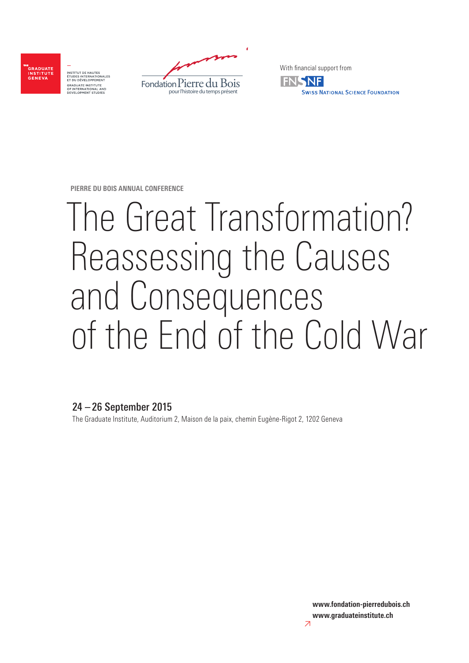

INSTITUT DE HAUTES<br>ÉTUDES INTERNATIONALES<br>ET DU DÉVELOPPEMENT GRADUATE INSTITUTE<br>OF INTERNATIONAL AL



With financial support from



**PIERRE DU BOIS ANNUAL CONFERENCE**

# The Great Transformation? Reassessing the Causes and Consequences of the End of the Cold War

# 24 – 26 September 2015

The Graduate Institute, Auditorium 2, Maison de la paix, chemin Eugène-Rigot 2, 1202 Geneva

**www.fondation-pierredubois.ch www.graduateinstitute.ch**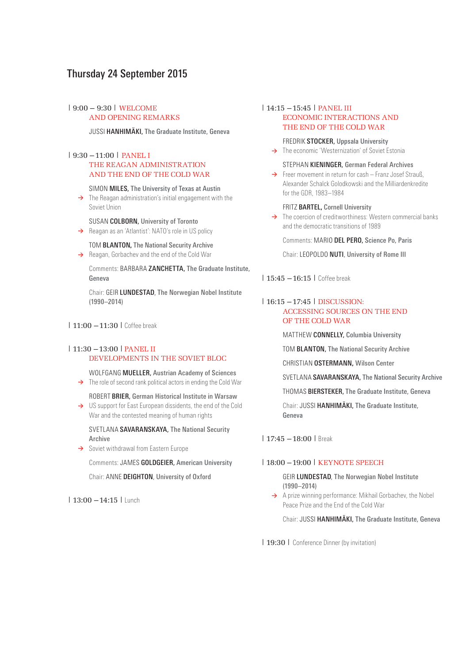# Thursday 24 September 2015

# |9:00 – 9:30| WELCOME AND OPENING REMARKS

JUSSI HANHIMÄKI, The Graduate Institute, Geneva

# |9:30 –11:00| PANEL I THE REAGAN ADMINISTRATION AND THE END OF THE COLD WAR

#### SIMON MILES, The University of Texas at Austin

- **>** The Reagan administration's initial engagement with the Soviet Union
- SUSAN COLBORN, University of Toronto → Reagan as an 'Atlantist': NATO's role in US policy
- TOM BLANTON**,** The National Security Archive
- **→** Reagan, Gorbachev and the end of the Cold War

 Comments: BARBARA ZANCHETTA, The Graduate Institute, Geneva

 Chair: GEIR LUNDESTAD, The Norwegian Nobel Institute (1990–2014)

|11:00 –11:30|Coffee break

# |11:30 –13:00|PANEL II DEVELOPMENTS IN THE SOVIET BLOC

 WOLFGANG MUELLER, Austrian Academy of Sciences → The role of second rank political actors in ending the Cold War

- ROBERT BRIER, German Historical Institute in Warsaw
- → US support for East European dissidents, the end of the Cold War and the contested meaning of human rights

 SVETLANA SAVARANSKAYA, The National Security Archive

**→** Soviet withdrawal from Eastern Europe

Comments: JAMES GOLDGEIER, American University

Chair: ANNE DEIGHTON, University of Oxford

|13:00 –14:15|Lunch

## |14:15 –15:45| PANEL III ECONOMIC INTERACTIONS AND THE END OF THE COLD WAR

FREDRIK STOCKER, Uppsala University

→ The economic 'Westernization' of Soviet Estonia

#### STEPHAN KIENINGER, German Federal Archives

**→** Freer movement in return for cash – Franz Josef Strauß, Alexander Schalck Golodkowski and the Milliardenkredite for the GDR, 1983–1984

#### FRITZ BARTEL**,** Cornell University

→ The coercion of creditworthiness: Western commercial banks and the democratic transitions of 1989

Comments: MARIO DEL PERO, Science Po, Paris

Chair: LEOPOLDO NUTI, University of Rome III

| 15:45 – 16:15 | Coffee break

# |16:15 –17:45| DISCUSSION: ACCESSING SOURCES ON THE END OF THE COLD WAR

MATTHEW CONNELLY, Columbia University

TOM BLANTON, The National Security Archive

CHRISTIAN OSTERMANN**,** Wilson Center

SVETLANA SAVARANSKAYA, The National Security Archive

THOMAS BIERSTEKER, The Graduate Institute, Geneva

 Chair: JUSSI HANHIMÄKI, The Graduate Institute, Geneva

|17:45 –18:00|Break

## |18:00 –19:00| KEYNOTE SPEECH

 GEIR LUNDESTAD, The Norwegian Nobel Institute (1990–2014)

→ A prize winning performance: Mikhail Gorbachev, the Nobel Peace Prize and the End of the Cold War

Chair: JUSSI HANHIMÄKI, The Graduate Institute, Geneva

| 19:30 | Conference Dinner (by invitation)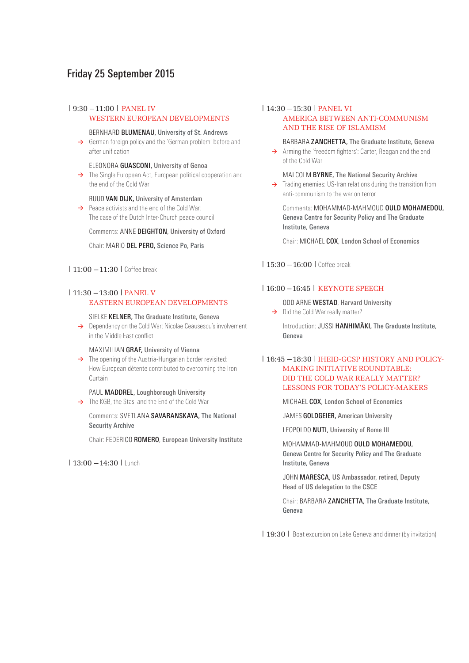# Friday 25 September 2015

#### |9:30 –11:00| PANEL IV WESTERN EUROPEAN DEVELOPMENTS

#### BERNHARD BLUMENAU, University of St. Andrews

 **>** German foreign policy and the 'German problem' before and after unification

#### ELEONORA GUASCONI, University of Genoa

→ The Single European Act, European political cooperation and the end of the Cold War

#### RUUD VAN DIJK**,** University of Amsterdam

→ Peace activists and the end of the Cold War: The case of the Dutch Inter-Church peace council

Comments: ANNE DEIGHTON, University of Oxford

## Chair: MARIO DEL PERO, Science Po, Paris

### | 11:00 – 11:30 | Coffee break

# |11:30 –13:00|PANEL V EASTERN EUROPEAN DEVELOPMENTS

#### SIELKE KELNER, The Graduate Institute, Geneva

→ Dependency on the Cold War: Nicolae Ceausescu's involvement in the Middle East conflict

#### MAXIMILIAN GRAF, University of Vienna

→ The opening of the Austria-Hungarian border revisited: How European détente contributed to overcoming the Iron Curtain

#### PAUL MADDREL, Loughborough University

→ The KGB, the Stasi and the Fnd of the Cold War

 Comments: SVETLANA SAVARANSKAYA, The National Security Archive

Chair: FEDERICO ROMERO, European University Institute

# |13:00 –14:30|Lunch

# |14:30 –15:30|PANEL VI AMERICA BETWEEN ANTI-COMMUNISM AND THE RISE OF ISLAMISM

# BARBARA ZANCHETTA, The Graduate Institute, Geneva

→ Arming the 'freedom fighters': Carter, Reagan and the end of the Cold War

### MALCOLM BYRNE, The National Security Archive

→ Trading enemies: US-Iran relations during the transition from anti-communism to the war on terror

Comments: MOHAMMAD-MAHMOUD OULD MOHAMEDOU, Geneva Centre for Security Policy and The Graduate Institute, Geneva

Chair: MICHAEL COX, London School of Economics

| 15:30 – 16:00 | Coffee break

# |16:00 –16:45| KEYNOTE SPEECH

 ODD ARNE WESTAD, Harvard University → Did the Cold War really matter?

Introduction: JUSSI HANHIMÄKI, The Graduate Institute, Geneva

# |16:45 –18:30|IHEID-GCSP HISTORY AND POLICY- MAKING INITIATIVE ROUNDTABLE: DID THE COLD WAR REALLY MATTER? LESSONS FOR TODAY'S POLICY-MAKERS

MICHAEL COX, London School of Economics

JAMES GOLDGEIER, American University

LEOPOLDO NUTI, University of Rome III

 MOHAMMAD-MAHMOUD OULD MOHAMEDOU, Geneva Centre for Security Policy and The Graduate Institute, Geneva

JOHN MARESCA, US Ambassador, retired, Deputy Head of US delegation to the CSCE

Chair: BARBARA ZANCHETTA, The Graduate Institute, Geneva

| 19:30 | Boat excursion on Lake Geneva and dinner (by invitation)